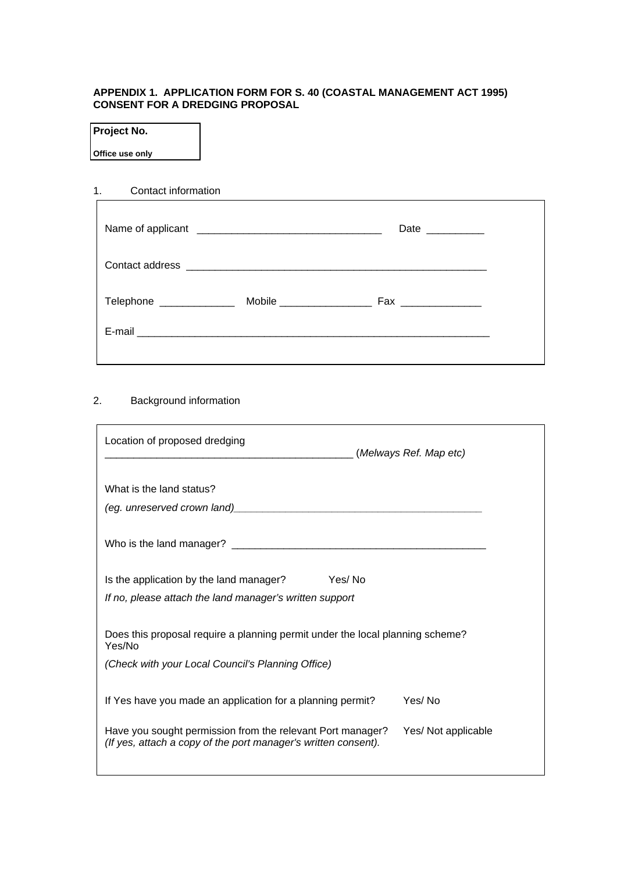#### **APPENDIX 1. APPLICATION FORM FOR S. 40 (COASTAL MANAGEMENT ACT 1995) CONSENT FOR A DREDGING PROPOSAL**

#### **Project No.**

**Office use only** 

# 1. Contact information

|                         | Date __________    |                           |
|-------------------------|--------------------|---------------------------|
|                         |                    |                           |
| Telephone _____________ | Fax ______________ |                           |
|                         |                    |                           |
|                         |                    | Mobile __________________ |

# 2. Background information

| Location of proposed dredging<br>(Melways Ref. Map etc)                                                                                                                                                                        |                     |  |
|--------------------------------------------------------------------------------------------------------------------------------------------------------------------------------------------------------------------------------|---------------------|--|
| What is the land status?                                                                                                                                                                                                       |                     |  |
| (eg. unreserved crown land) [2001] [2012] [2012] [2012] [2012] [2012] [2012] [2012] [2012] [2012] [2012] [2012] [2012] [2012] [2012] [2012] [2012] [2012] [2012] [2012] [2012] [2012] [2012] [2012] [2012] [2012] [2012] [2012 |                     |  |
|                                                                                                                                                                                                                                |                     |  |
| Yes/No<br>Is the application by the land manager?                                                                                                                                                                              |                     |  |
| If no, please attach the land manager's written support                                                                                                                                                                        |                     |  |
| Does this proposal require a planning permit under the local planning scheme?<br>Yes/No                                                                                                                                        |                     |  |
| (Check with your Local Council's Planning Office)                                                                                                                                                                              |                     |  |
| If Yes have you made an application for a planning permit?                                                                                                                                                                     | Yes/No              |  |
| Have you sought permission from the relevant Port manager?<br>(If yes, attach a copy of the port manager's written consent).                                                                                                   | Yes/ Not applicable |  |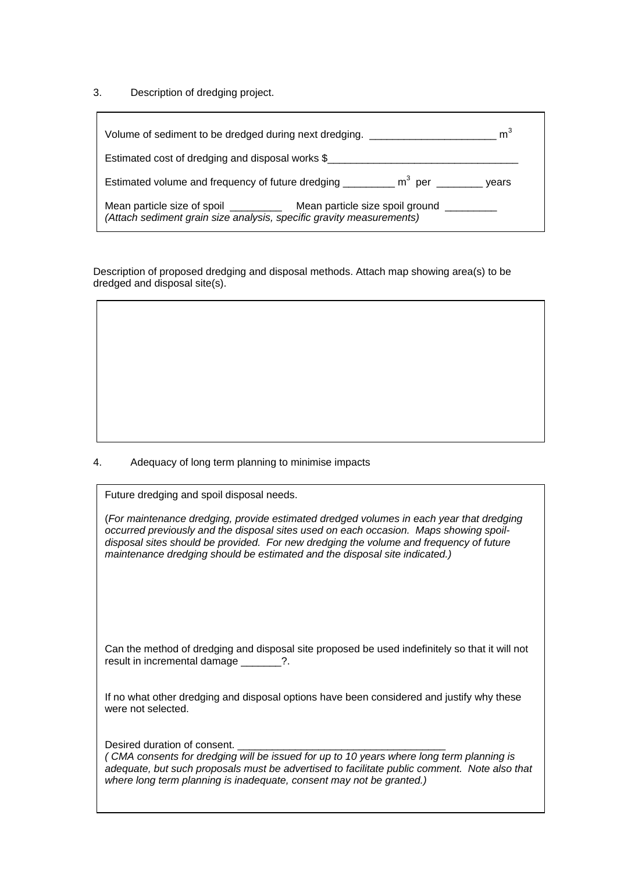3. Description of dredging project.

| m <sup>3</sup><br>Volume of sediment to be dredged during next dredging.                                                                                      |
|---------------------------------------------------------------------------------------------------------------------------------------------------------------|
| Estimated cost of dredging and disposal works \$                                                                                                              |
| Estimated volume and frequency of future dredging _________ m <sup>3</sup> per _______ years                                                                  |
| Mean particle size of spoil ______________ Mean particle size spoil ground __________<br>(Attach sediment grain size analysis, specific gravity measurements) |

Description of proposed dredging and disposal methods. Attach map showing area(s) to be dredged and disposal site(s).

4. Adequacy of long term planning to minimise impacts

| Future dredging and spoil disposal needs.                                                                                                                                                                                                                                                                                                                |
|----------------------------------------------------------------------------------------------------------------------------------------------------------------------------------------------------------------------------------------------------------------------------------------------------------------------------------------------------------|
| (For maintenance dredging, provide estimated dredged volumes in each year that dredging<br>occurred previously and the disposal sites used on each occasion. Maps showing spoil-<br>disposal sites should be provided. For new dredging the volume and frequency of future<br>maintenance dredging should be estimated and the disposal site indicated.) |
| Can the method of dredging and disposal site proposed be used indefinitely so that it will not                                                                                                                                                                                                                                                           |
| result in incremental damage                                                                                                                                                                                                                                                                                                                             |

If no what other dredging and disposal options have been considered and justify why these were not selected.

Desired duration of consent.

| (CMA consents for dredging will be issued for up to 10 years where long term planning is     |  |
|----------------------------------------------------------------------------------------------|--|
| adequate, but such proposals must be advertised to facilitate public comment. Note also that |  |
| where long term planning is inadequate, consent may not be granted.)                         |  |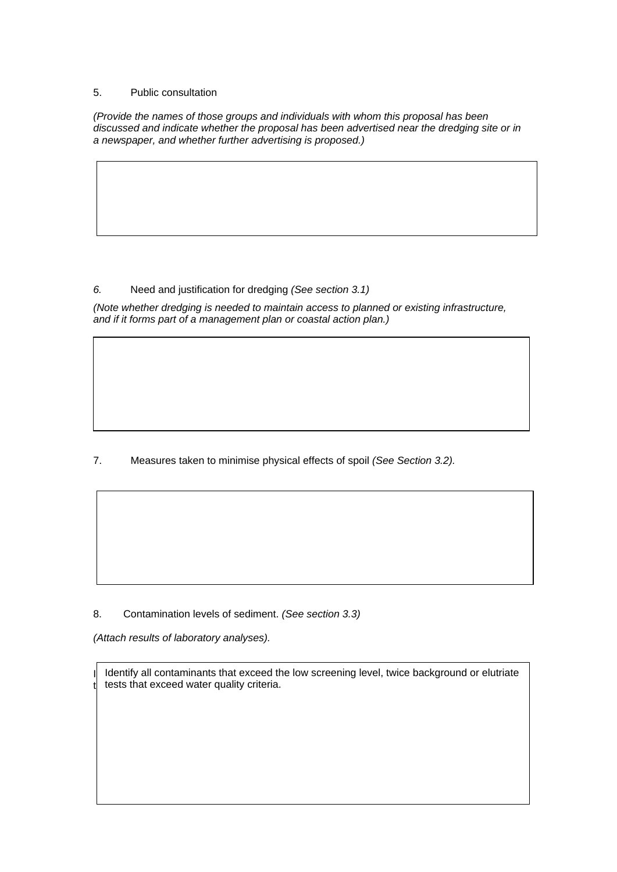#### 5. Public consultation

*(Provide the names of those groups and individuals with whom this proposal has been discussed and indicate whether the proposal has been advertised near the dredging site or in a newspaper, and whether further advertising is proposed.)* 

### *6.* Need and justification for dredging *(See section 3.1)*

*(Note whether dredging is needed to maintain access to planned or existing infrastructure, and if it forms part of a management plan or coastal action plan.)* 

# 7. Measures taken to minimise physical effects of spoil *(See Section 3.2).*

8. Contamination levels of sediment. *(See section 3.3)* 

*(Attach results of laboratory analyses).* 

Identify all contaminants that exceed the low screening level, twice background or elutriate Identify all contaminants that exceed the low screening level, twice background or elutriate  $|t|$  tests that exceed water quality criteria.